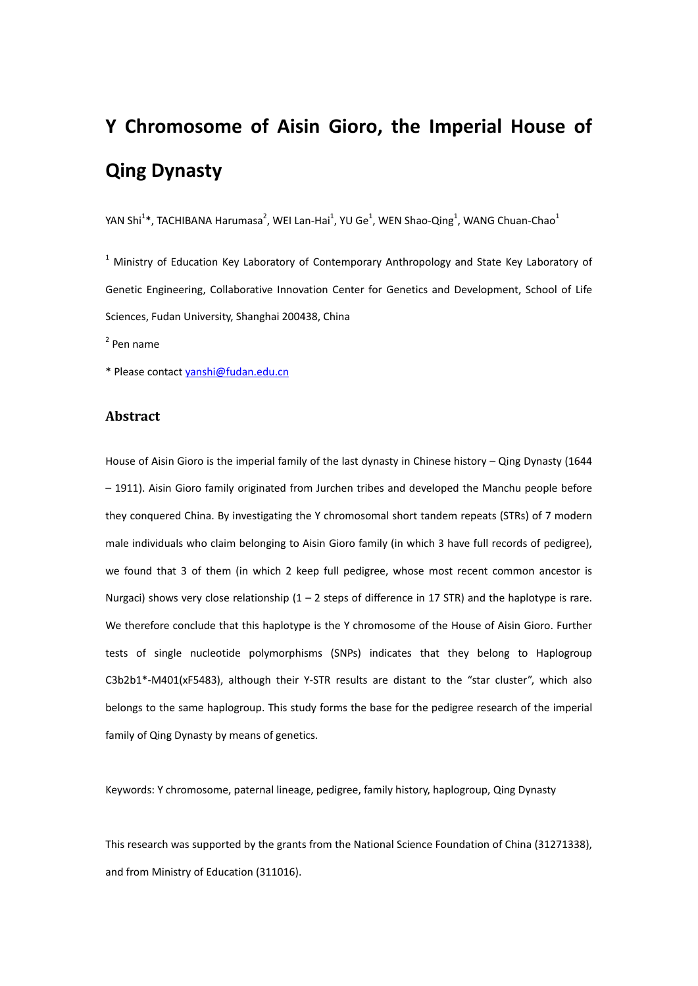# **Y Chromosome of Aisin Gioro, the Imperial House of Qing Dynasty**

YAN Shi<sup>1</sup>\*, TACHIBANA Harumasa<sup>2</sup>, WEI Lan-Hai<sup>1</sup>, YU Ge<sup>1</sup>, WEN Shao-Qing<sup>1</sup>, WANG Chuan-Chao<sup>1</sup>

 $1$  Ministry of Education Key Laboratory of Contemporary Anthropology and State Key Laboratory of Genetic Engineering, Collaborative Innovation Center for Genetics and Development, School of Life Sciences, Fudan University, Shanghai 200438, China

 $<sup>2</sup>$  Pen name</sup>

\* Please contact yanshi@fudan.edu.cn

# **Abstract**

House of Aisin Gioro is the imperial family of the last dynasty in Chinese history – Qing Dynasty (1644 – 1911). Aisin Gioro family originated from Jurchen tribes and developed the Manchu people before they conquered China. By investigating the Y chromosomal short tandem repeats (STRs) of 7 modern male individuals who claim belonging to Aisin Gioro family (in which 3 have full records of pedigree), we found that 3 of them (in which 2 keep full pedigree, whose most recent common ancestor is Nurgaci) shows very close relationship  $(1 - 2$  steps of difference in 17 STR) and the haplotype is rare. We therefore conclude that this haplotype is the Y chromosome of the House of Aisin Gioro. Further tests of single nucleotide polymorphisms (SNPs) indicates that they belong to Haplogroup C3b2b1\*‐M401(xF5483), although their Y‐STR results are distant to the "star cluster", which also belongs to the same haplogroup. This study forms the base for the pedigree research of the imperial family of Qing Dynasty by means of genetics.

Keywords: Y chromosome, paternal lineage, pedigree, family history, haplogroup, Qing Dynasty

This research was supported by the grants from the National Science Foundation of China (31271338), and from Ministry of Education (311016).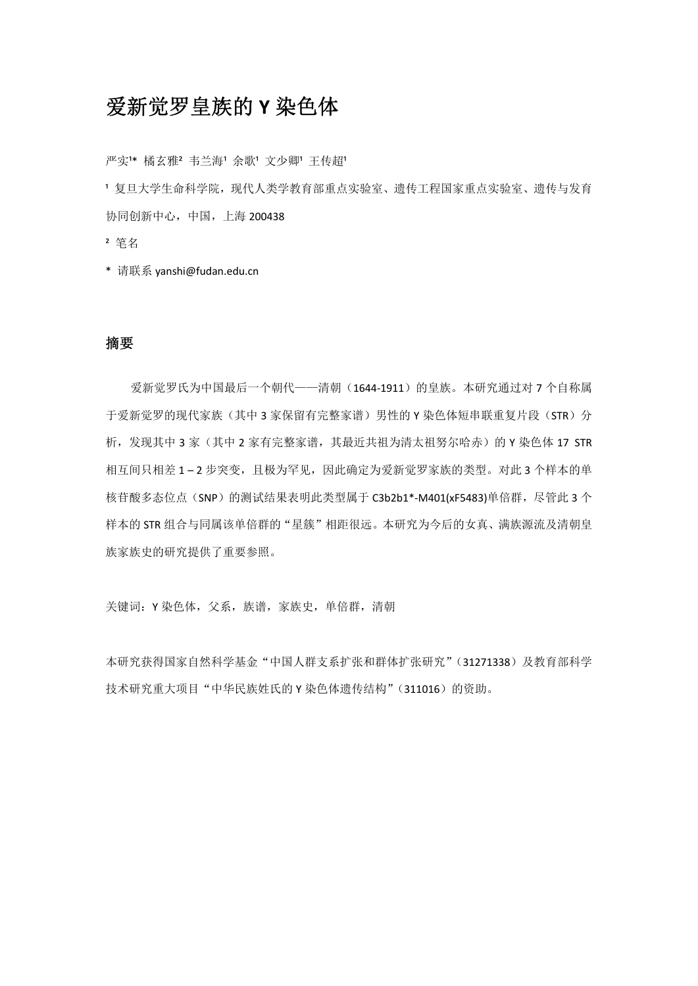# 爱新觉罗皇族的 **Y** 染色体

严实1\* 橘玄雅2 韦兰海1 余歌1 文少卿1 王传超1

1 复旦大学生命科学院,现代人类学教育部重点实验室、遗传工程国家重点实验室、遗传与发育 协同创新中心,中国,上海 200438

- ² 笔名
- \* 请联系 yanshi@fudan.edu.cn

#### 摘要

爱新觉罗氏为中国最后一个朝代——清朝(1644‐1911)的皇族。本研究通过对 7 个自称属 于爱新觉罗的现代家族(其中3家保留有完整家谱)男性的 Y 染色体短串联重复片段(STR)分 析,发现其中 3 家(其中 2 家有完整家谱, 其最近共祖为清太祖努尔哈赤)的 Y 染色体 17 STR 相互间只相差 1-2 步突变, 目极为罕见, 因此确定为爱新觉罗家族的类型。对此 3 个样本的单 核苷酸多态位点(SNP)的测试结果表明此类型属于 C3b2b1\*-M401(xF5483)单倍群, 尽管此 3 个 样本的 STR 组合与同属该单倍群的"星簇"相距很远。本研究为今后的女真、满族源流及清朝皇 族家族史的研究提供了重要参照。

关键词: Y 染色体, 父系, 族谱, 家族史, 单倍群, 清朝

本研究获得国家自然科学基金"中国人群支系扩张和群体扩张研究"(31271338)及教育部科学 技术研究重大项目"中华民族姓氏的 Y 染色体遗传结构"(311016)的资助。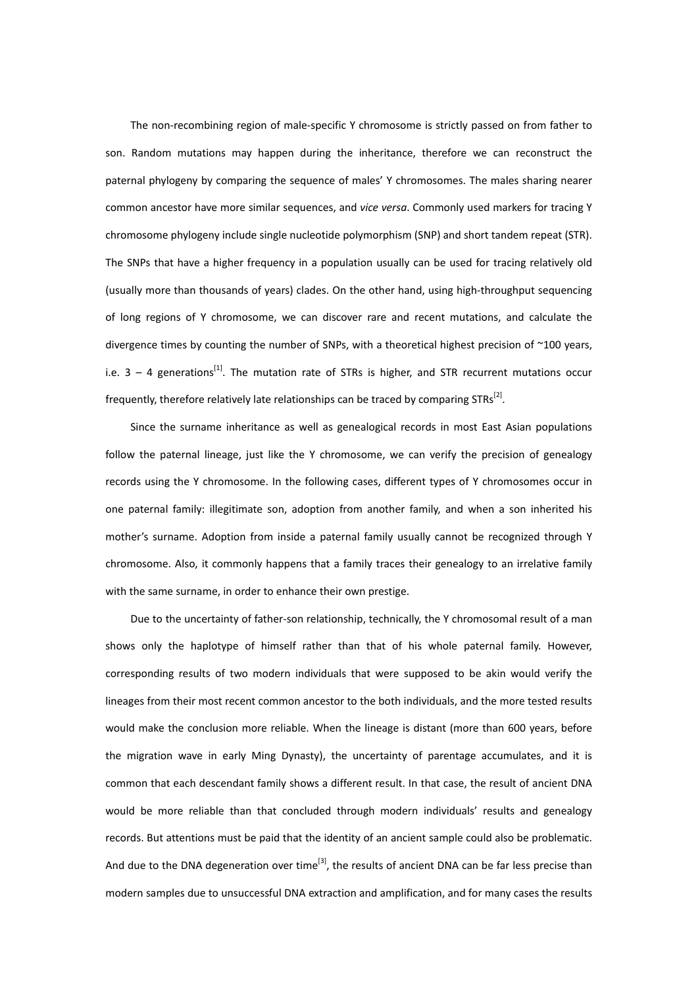The non-recombining region of male-specific Y chromosome is strictly passed on from father to son. Random mutations may happen during the inheritance, therefore we can reconstruct the paternal phylogeny by comparing the sequence of males' Y chromosomes. The males sharing nearer common ancestor have more similar sequences, and *vice versa*. Commonly used markers for tracing Y chromosome phylogeny include single nucleotide polymorphism (SNP) and short tandem repeat (STR). The SNPs that have a higher frequency in a population usually can be used for tracing relatively old (usually more than thousands of years) clades. On the other hand, using high‐throughput sequencing of long regions of Y chromosome, we can discover rare and recent mutations, and calculate the divergence times by counting the number of SNPs, with a theoretical highest precision of ~100 years, i.e.  $3 - 4$  generations<sup>[1]</sup>. The mutation rate of STRs is higher, and STR recurrent mutations occur frequently, therefore relatively late relationships can be traced by comparing  $STRs^{[2]}$ .

Since the surname inheritance as well as genealogical records in most East Asian populations follow the paternal lineage, just like the Y chromosome, we can verify the precision of genealogy records using the Y chromosome. In the following cases, different types of Y chromosomes occur in one paternal family: illegitimate son, adoption from another family, and when a son inherited his mother's surname. Adoption from inside a paternal family usually cannot be recognized through Y chromosome. Also, it commonly happens that a family traces their genealogy to an irrelative family with the same surname, in order to enhance their own prestige.

Due to the uncertainty of father-son relationship, technically, the Y chromosomal result of a man shows only the haplotype of himself rather than that of his whole paternal family. However, corresponding results of two modern individuals that were supposed to be akin would verify the lineages from their most recent common ancestor to the both individuals, and the more tested results would make the conclusion more reliable. When the lineage is distant (more than 600 years, before the migration wave in early Ming Dynasty), the uncertainty of parentage accumulates, and it is common that each descendant family shows a different result. In that case, the result of ancient DNA would be more reliable than that concluded through modern individuals' results and genealogy records. But attentions must be paid that the identity of an ancient sample could also be problematic. And due to the DNA degeneration over time<sup>[3]</sup>, the results of ancient DNA can be far less precise than modern samples due to unsuccessful DNA extraction and amplification, and for many cases the results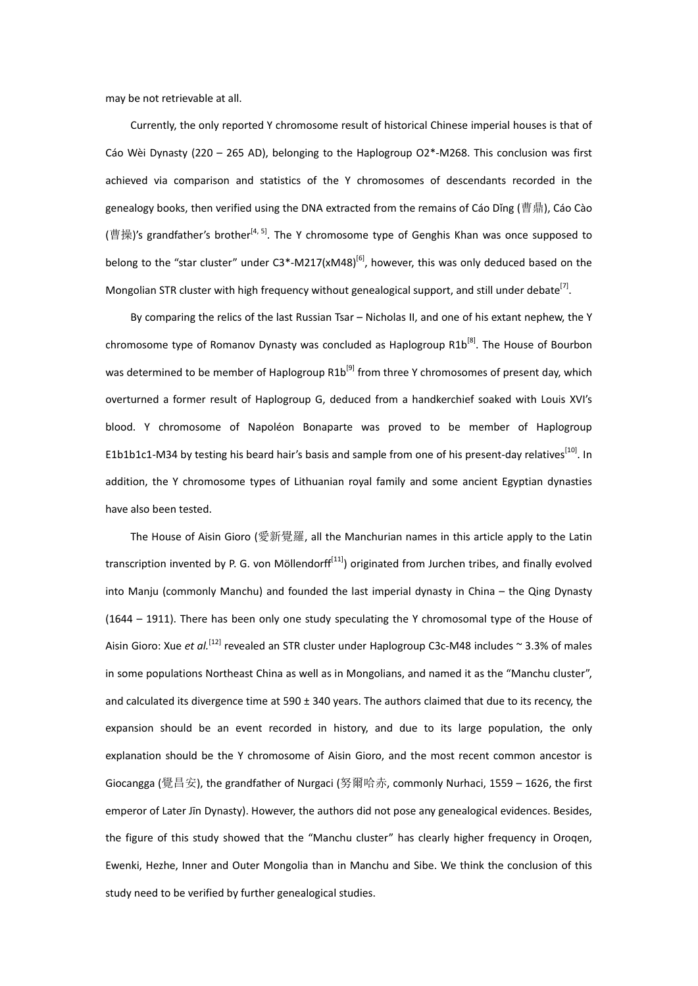may be not retrievable at all.

Currently, the only reported Y chromosome result of historical Chinese imperial houses is that of Cáo Wèi Dynasty (220 – 265 AD), belonging to the Haplogroup O2\*‐M268. This conclusion was first achieved via comparison and statistics of the Y chromosomes of descendants recorded in the genealogy books, then verified using the DNA extracted from the remains of Cáo Dǐng (曹鼎), Cáo Cào (曹操)'s grandfather's brother<sup>[4, 5]</sup>. The Y chromosome type of Genghis Khan was once supposed to belong to the "star cluster" under  $C3^*$ -M217(xM48)<sup>[6]</sup>, however, this was only deduced based on the Mongolian STR cluster with high frequency without genealogical support, and still under debate<sup>[7]</sup>.

By comparing the relics of the last Russian Tsar – Nicholas II, and one of his extant nephew, the Y chromosome type of Romanov Dynasty was concluded as Haplogroup  $R1b^{[8]}$ . The House of Bourbon was determined to be member of Haplogroup  $R1b^{[9]}$  from three Y chromosomes of present day, which overturned a former result of Haplogroup G, deduced from a handkerchief soaked with Louis XVI's blood. Y chromosome of Napoléon Bonaparte was proved to be member of Haplogroup E1b1b1c1-M34 by testing his beard hair's basis and sample from one of his present-day relatives<sup>[10]</sup>. In addition, the Y chromosome types of Lithuanian royal family and some ancient Egyptian dynasties have also been tested.

The House of Aisin Gioro (愛新覺羅, all the Manchurian names in this article apply to the Latin transcription invented by P. G. von Möllendorf $f<sup>[11]</sup>$ ) originated from Jurchen tribes, and finally evolved into Manju (commonly Manchu) and founded the last imperial dynasty in China – the Qing Dynasty (1644 – 1911). There has been only one study speculating the Y chromosomal type of the House of Aisin Gioro: Xue *et al.*<sup>[12]</sup> revealed an STR cluster under Haplogroup C3c-M48 includes ~ 3.3% of males in some populations Northeast China as well as in Mongolians, and named it as the "Manchu cluster", and calculated its divergence time at 590 ± 340 years. The authors claimed that due to its recency, the expansion should be an event recorded in history, and due to its large population, the only explanation should be the Y chromosome of Aisin Gioro, and the most recent common ancestor is Giocangga (覺昌安), the grandfather of Nurgaci (努爾哈赤, commonly Nurhaci, 1559 – 1626, the first emperor of Later Jīn Dynasty). However, the authors did not pose any genealogical evidences. Besides, the figure of this study showed that the "Manchu cluster" has clearly higher frequency in Oroqen, Ewenki, Hezhe, Inner and Outer Mongolia than in Manchu and Sibe. We think the conclusion of this study need to be verified by further genealogical studies.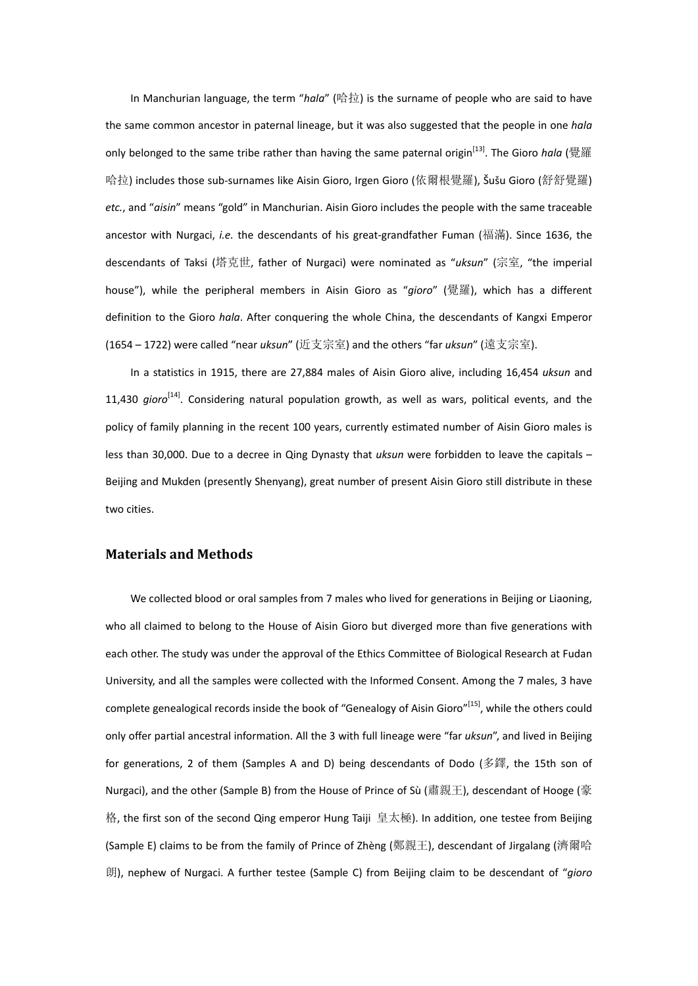In Manchurian language, the term "*hala*" (哈拉) is the surname of people who are said to have the same common ancestor in paternal lineage, but it was also suggested that the people in one *hala* only belonged to the same tribe rather than having the same paternal origin[13]. The Gioro *hala* (覺羅 哈拉) includes those sub‐surnames like Aisin Gioro, Irgen Gioro (依爾根覺羅), Šušu Gioro (舒舒覺羅) *etc.*, and "*aisin*" means "gold" in Manchurian. Aisin Gioro includes the people with the same traceable ancestor with Nurgaci, *i.e.* the descendants of his great‐grandfather Fuman (福滿). Since 1636, the descendants of Taksi (塔克世, father of Nurgaci) were nominated as "*uksun*" (宗室, "the imperial house"), while the peripheral members in Aisin Gioro as "*gioro*" (覺羅), which has a different definition to the Gioro *hala*. After conquering the whole China, the descendants of Kangxi Emperor (1654 – 1722) were called "near *uksun*" (近支宗室) and the others "far *uksun*" (遠支宗室).

In a statistics in 1915, there are 27,884 males of Aisin Gioro alive, including 16,454 *uksun* and 11,430 *gioro*<sup>[14]</sup>. Considering natural population growth, as well as wars, political events, and the policy of family planning in the recent 100 years, currently estimated number of Aisin Gioro males is less than 30,000. Due to a decree in Qing Dynasty that *uksun* were forbidden to leave the capitals – Beijing and Mukden (presently Shenyang), great number of present Aisin Gioro still distribute in these two cities.

#### **Materials and Methods**

We collected blood or oral samples from 7 males who lived for generations in Beijing or Liaoning. who all claimed to belong to the House of Aisin Gioro but diverged more than five generations with each other. The study was under the approval of the Ethics Committee of Biological Research at Fudan University, and all the samples were collected with the Informed Consent. Among the 7 males, 3 have complete genealogical records inside the book of "Genealogy of Aisin Gioro"<sup>[15]</sup>, while the others could only offer partial ancestral information. All the 3 with full lineage were "far *uksun*", and lived in Beijing for generations, 2 of them (Samples A and D) being descendants of Dodo (多鐸, the 15th son of Nurgaci), and the other (Sample B) from the House of Prince of Sù (肅親王), descendant of Hooge (豪 格, the first son of the second Qing emperor Hung Taiji 皇太極). In addition, one testee from Beijing (Sample E) claims to be from the family of Prince of Zhèng (鄭親王), descendant of Jirgalang (濟爾哈 朗), nephew of Nurgaci. A further testee (Sample C) from Beijing claim to be descendant of "*gioro*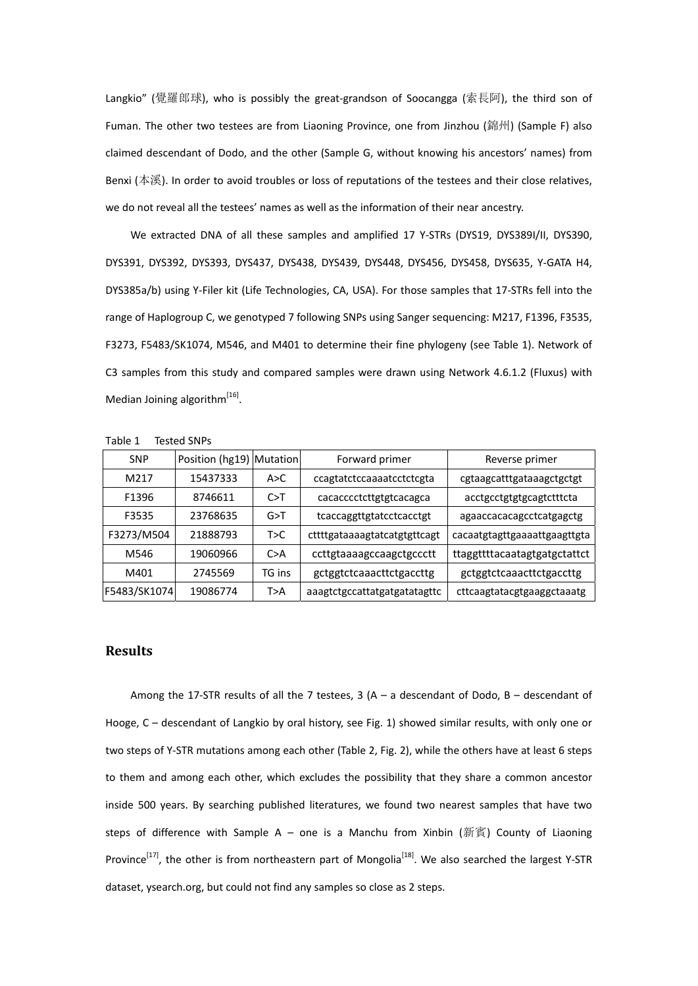Langkio" (覺羅郎球), who is possibly the great-grandson of Soocangga (索長阿), the third son of Fuman. The other two testees are from Liaoning Province, one from Jinzhou (錦州) (Sample F) also claimed descendant of Dodo, and the other (Sample G, without knowing his ancestors' names) from Benxi (本溪). In order to avoid troubles or loss of reputations of the testees and their close relatives, we do not reveal all the testees' names as well as the information of their near ancestry.

We extracted DNA of all these samples and amplified 17 Y-STRs (DYS19, DYS389I/II, DYS390, DYS391, DYS392, DYS393, DYS437, DYS438, DYS439, DYS448, DYS456, DYS458, DYS635, Y‐GATA H4, DYS385a/b) using Y‐Filer kit (Life Technologies, CA, USA). For those samples that 17‐STRs fell into the range of Haplogroup C, we genotyped 7 following SNPs using Sanger sequencing: M217, F1396, F3535, F3273, F5483/SK1074, M546, and M401 to determine their fine phylogeny (see Table 1). Network of C3 samples from this study and compared samples were drawn using Network 4.6.1.2 (Fluxus) with Median Joining algorithm $^{[16]}$ .

| Table 1 | Tested SNPs |
|---------|-------------|
|---------|-------------|

| <b>SNP</b>        | Position (hg19) Mutation |        | Forward primer               | Reverse primer               |
|-------------------|--------------------------|--------|------------------------------|------------------------------|
| M <sub>2</sub> 17 | 15437333                 | A > C  | ccagtatctccaaaatcctctcgta    | cgtaagcatttgataaagctgctgt    |
| F1396             | 8746611                  | C>T    | cacacccctcttgtgtcacagca      | acctgcctgtgtgcagtctttcta     |
| F3535             | 23768635                 | G>T    | tcaccaggttgtatcctcacctgt     | agaaccacacagcctcatgagctg     |
| F3273/M504        | 21888793                 | T>C    | cttttgataaaagtatcatgtgttcagt | cacaatgtagttgaaaattgaagttgta |
| M546              | 19060966                 | C > A  | ccttgtaaaagccaagctgccctt     | ttaggttttacaatagtgatgctattct |
| M401              | 2745569                  | TG ins | gctggtctcaaacttctgaccttg     | gctggtctcaaacttctgaccttg     |
| F5483/SK1074      | 19086774                 | T>A    | aaagtctgccattatgatgatatagttc | cttcaagtatacgtgaaggctaaatg   |

#### **Results**

Among the 17-STR results of all the 7 testees,  $3(A - a$  descendant of Dodo,  $B -$  descendant of Hooge, C – descendant of Langkio by oral history, see Fig. 1) showed similar results, with only one or two steps of Y‐STR mutations among each other (Table 2, Fig. 2), while the others have at least 6 steps to them and among each other, which excludes the possibility that they share a common ancestor inside 500 years. By searching published literatures, we found two nearest samples that have two steps of difference with Sample A - one is a Manchu from Xinbin (新賓) County of Liaoning Province<sup>[17]</sup>, the other is from northeastern part of Mongolia<sup>[18]</sup>. We also searched the largest Y-STR dataset, ysearch.org, but could not find any samples so close as 2 steps.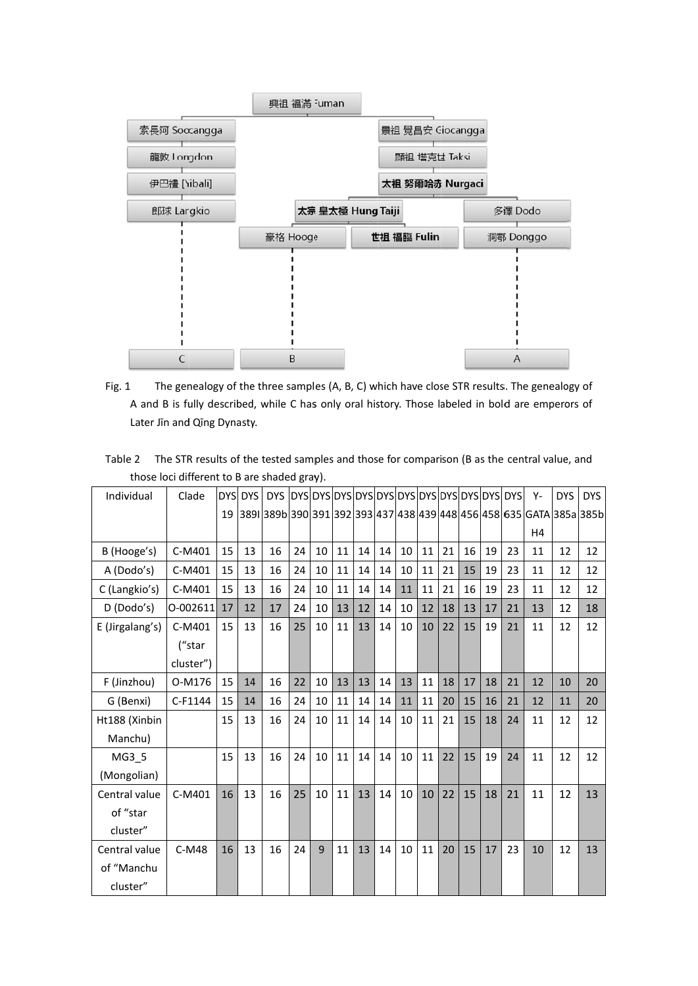

- Fig. 1 1 The genealogy of the three samples (A, B, C) which have close STR results. The genealogy of A and B is fully described, while C has only oral history. Those labeled in bold are emperors of Later Jīn and Qīng Dynasty.
- Tabl e 2 The STR results of the tested samples and those for comparison (B as the central value, and those loci different to B are shaded gray).

| Individual      | Clade     |    | DYS DYS | <b>DYS</b> |    |    |    |    |    |    |    |    |    |    |    | Υ-                                                                   | <b>DYS</b> | <b>DYS</b> |
|-----------------|-----------|----|---------|------------|----|----|----|----|----|----|----|----|----|----|----|----------------------------------------------------------------------|------------|------------|
|                 |           | 19 |         |            |    |    |    |    |    |    |    |    |    |    |    | 3891 389b 390 391 392 393 437 438 439 448 456 458 635 GATA 385a 385b |            |            |
|                 |           |    |         |            |    |    |    |    |    |    |    |    |    |    |    | H4                                                                   |            |            |
| B (Hooge's)     | C-M401    | 15 | 13      | 16         | 24 | 10 | 11 | 14 | 14 | 10 | 11 | 21 | 16 | 19 | 23 | 11                                                                   | 12         | 12         |
| A (Dodo's)      | C-M401    | 15 | 13      | 16         | 24 | 10 | 11 | 14 | 14 | 10 | 11 | 21 | 15 | 19 | 23 | 11                                                                   | 12         | 12         |
| C (Langkio's)   | C-M401    | 15 | 13      | 16         | 24 | 10 | 11 | 14 | 14 | 11 | 11 | 21 | 16 | 19 | 23 | 11                                                                   | 12         | 12         |
| D (Dodo's)      | 0-002611  | 17 | 12      | 17         | 24 | 10 | 13 | 12 | 14 | 10 | 12 | 18 | 13 | 17 | 21 | 13                                                                   | 12         | 18         |
| E (Jirgalang's) | C-M401    | 15 | 13      | 16         | 25 | 10 | 11 | 13 | 14 | 10 | 10 | 22 | 15 | 19 | 21 | 11                                                                   | 12         | 12         |
|                 | ("star    |    |         |            |    |    |    |    |    |    |    |    |    |    |    |                                                                      |            |            |
|                 | cluster") |    |         |            |    |    |    |    |    |    |    |    |    |    |    |                                                                      |            |            |
| F (Jinzhou)     | O-M176    | 15 | 14      | 16         | 22 | 10 | 13 | 13 | 14 | 13 | 11 | 18 | 17 | 18 | 21 | 12                                                                   | 10         | 20         |
| G (Benxi)       | C-F1144   | 15 | 14      | 16         | 24 | 10 | 11 | 14 | 14 | 11 | 11 | 20 | 15 | 16 | 21 | 12                                                                   | 11         | 20         |
| Ht188 (Xinbin   |           | 15 | 13      | 16         | 24 | 10 | 11 | 14 | 14 | 10 | 11 | 21 | 15 | 18 | 24 | 11                                                                   | 12         | 12         |
| Manchu)         |           |    |         |            |    |    |    |    |    |    |    |    |    |    |    |                                                                      |            |            |
| MG3 5           |           | 15 | 13      | 16         | 24 | 10 | 11 | 14 | 14 | 10 | 11 | 22 | 15 | 19 | 24 | 11                                                                   | 12         | 12         |
| (Mongolian)     |           |    |         |            |    |    |    |    |    |    |    |    |    |    |    |                                                                      |            |            |
| Central value   | C-M401    | 16 | 13      | 16         | 25 | 10 | 11 | 13 | 14 | 10 | 10 | 22 | 15 | 18 | 21 | 11                                                                   | 12         | 13         |
| of "star        |           |    |         |            |    |    |    |    |    |    |    |    |    |    |    |                                                                      |            |            |
| cluster"        |           |    |         |            |    |    |    |    |    |    |    |    |    |    |    |                                                                      |            |            |
| Central value   | $C-M48$   | 16 | 13      | 16         | 24 | 9  | 11 | 13 | 14 | 10 | 11 | 20 | 15 | 17 | 23 | 10                                                                   | 12         | 13         |
| of "Manchu      |           |    |         |            |    |    |    |    |    |    |    |    |    |    |    |                                                                      |            |            |
| cluster"        |           |    |         |            |    |    |    |    |    |    |    |    |    |    |    |                                                                      |            |            |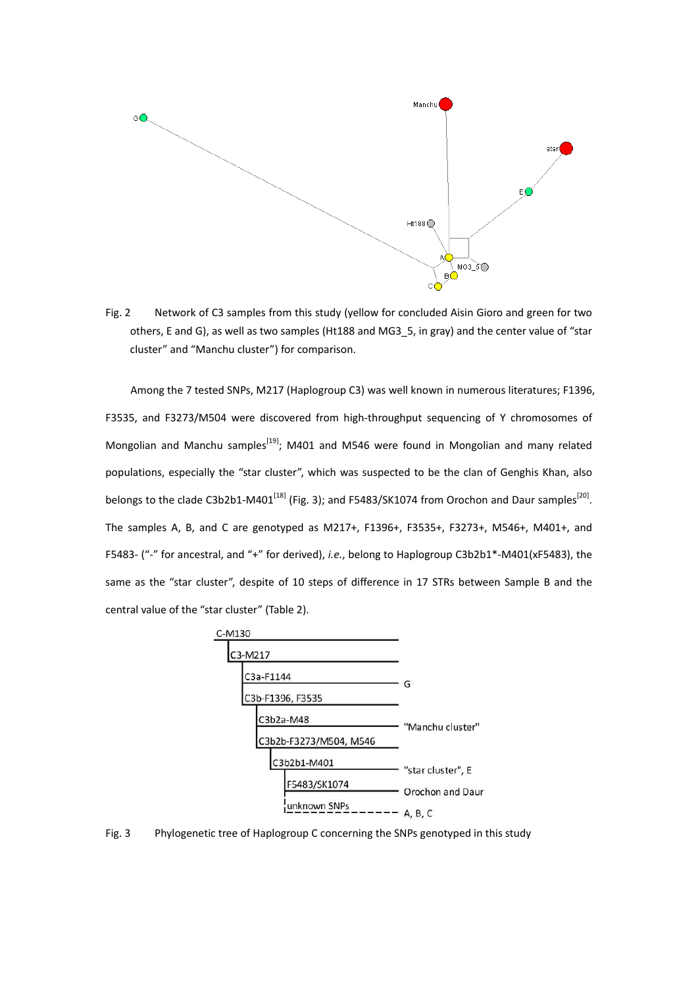

Fig. 2 Network of C3 samples from this study (yellow for concluded Aisin Gioro and green for two others, E and G), as well as two samples (Ht188 and MG3\_5, in gray) and the center value of "star cluster" and "Manchu cluster") for comparison.

Among the 7 tested SNPs, M217 (Haplogroup C3) was well known in numerous literatures; F1396, F3535, and F3273/M504 were discovered from high-throughput sequencing of Y chromosomes of Mongolian and Manchu samples<sup>[19]</sup>; M401 and M546 were found in Mongolian and many related populations, especially the "star cluster", which was suspected to be the clan of Genghis Khan, also belongs to the clade C3b2b1-M401<sup>[18]</sup> (Fig. 3); and F5483/SK1074 from Orochon and Daur samples<sup>[20]</sup>. The samples A, B, and C are genotyped as M217+, F1396+, F3535+, F3273+, M546+, M401+, and F5483‐ ("‐" for ancestral, and "+" for derived), *i.e.*, belong to Haplogroup C3b2b1\*‐M401(xF5483), the same as the "star cluster", despite of 10 steps of difference in 17 STRs between Sample B and the central value of the "star cluster" (Table 2).



Fig. 3 Phylogenetic tree of Haplogroup C concerning the SNPs genotyped in this study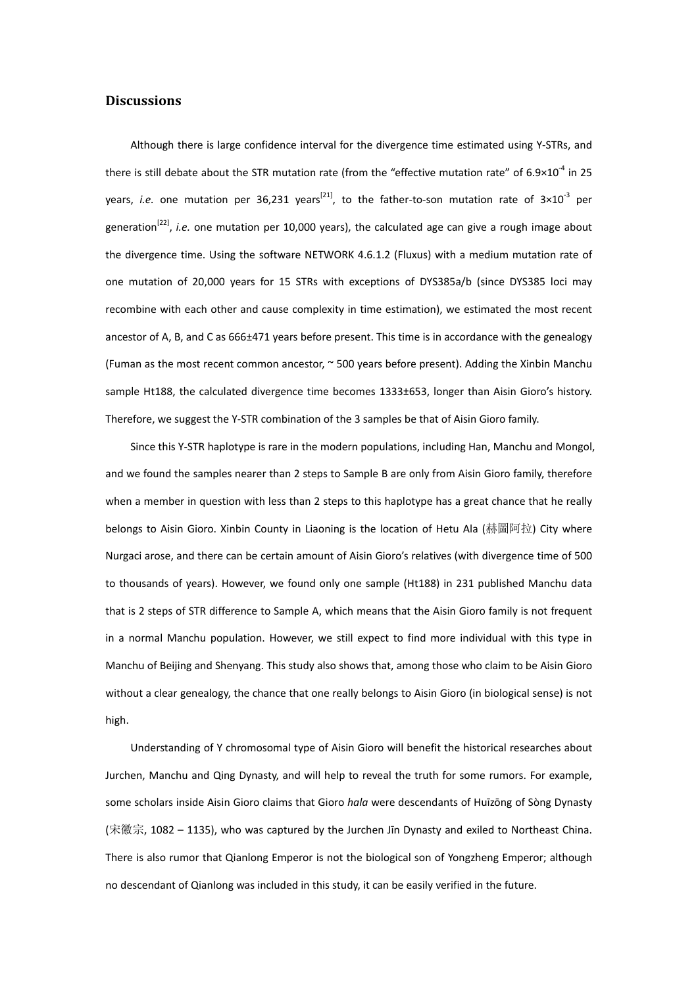# **Discussions**

Although there is large confidence interval for the divergence time estimated using Y‐STRs, and there is still debate about the STR mutation rate (from the "effective mutation rate" of  $6.9\times10^{-4}$  in 25 years, *i.e.* one mutation per 36,231 years<sup>[21]</sup>, to the father-to-son mutation rate of  $3\times10^{-3}$  per generation[22], *i.e.* one mutation per 10,000 years), the calculated age can give a rough image about the divergence time. Using the software NETWORK 4.6.1.2 (Fluxus) with a medium mutation rate of one mutation of 20,000 years for 15 STRs with exceptions of DYS385a/b (since DYS385 loci may recombine with each other and cause complexity in time estimation), we estimated the most recent ancestor of A, B, and C as 666±471 years before present. This time is in accordance with the genealogy (Fuman as the most recent common ancestor, ~ 500 years before present). Adding the Xinbin Manchu sample Ht188, the calculated divergence time becomes 1333±653, longer than Aisin Gioro's history. Therefore, we suggest the Y‐STR combination of the 3 samples be that of Aisin Gioro family.

Since this Y‐STR haplotype is rare in the modern populations, including Han, Manchu and Mongol, and we found the samples nearer than 2 steps to Sample B are only from Aisin Gioro family, therefore when a member in question with less than 2 steps to this haplotype has a great chance that he really belongs to Aisin Gioro. Xinbin County in Liaoning is the location of Hetu Ala (赫圖阿拉) City where Nurgaci arose, and there can be certain amount of Aisin Gioro's relatives (with divergence time of 500 to thousands of years). However, we found only one sample (Ht188) in 231 published Manchu data that is 2 steps of STR difference to Sample A, which means that the Aisin Gioro family is not frequent in a normal Manchu population. However, we still expect to find more individual with this type in Manchu of Beijing and Shenyang. This study also shows that, among those who claim to be Aisin Gioro without a clear genealogy, the chance that one really belongs to Aisin Gioro (in biological sense) is not high.

Understanding of Y chromosomal type of Aisin Gioro will benefit the historical researches about Jurchen, Manchu and Qing Dynasty, and will help to reveal the truth for some rumors. For example, some scholars inside Aisin Gioro claims that Gioro *hala* were descendants of Huīzōng of Sòng Dynasty (宋徽宗, 1082 – 1135), who was captured by the Jurchen Jīn Dynasty and exiled to Northeast China. There is also rumor that Qianlong Emperor is not the biological son of Yongzheng Emperor; although no descendant of Qianlong was included in this study, it can be easily verified in the future.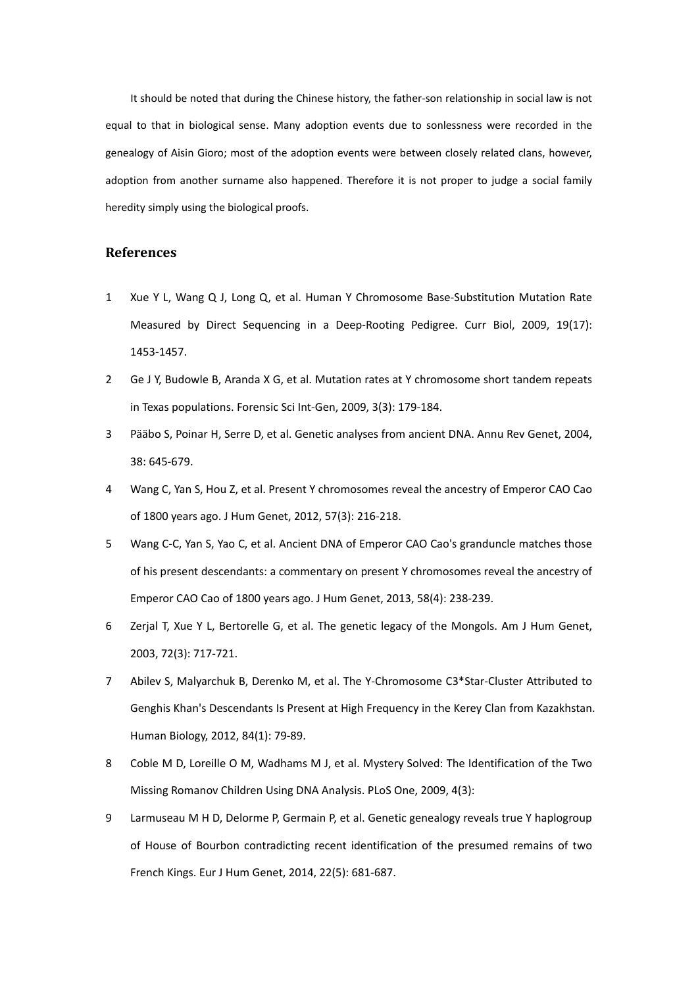It should be noted that during the Chinese history, the father‐son relationship in social law is not equal to that in biological sense. Many adoption events due to sonlessness were recorded in the genealogy of Aisin Gioro; most of the adoption events were between closely related clans, however, adoption from another surname also happened. Therefore it is not proper to judge a social family heredity simply using the biological proofs.

### **References**

- 1 Xue Y L, Wang Q J, Long Q, et al. Human Y Chromosome Base‐Substitution Mutation Rate Measured by Direct Sequencing in a Deep-Rooting Pedigree. Curr Biol, 2009, 19(17): 1453‐1457.
- 2 Ge J Y, Budowle B, Aranda X G, et al. Mutation rates at Y chromosome short tandem repeats in Texas populations. Forensic Sci Int‐Gen, 2009, 3(3): 179‐184.
- 3 Pääbo S, Poinar H, Serre D, et al. Genetic analyses from ancient DNA. Annu Rev Genet, 2004, 38: 645‐679.
- 4 Wang C, Yan S, Hou Z, et al. Present Y chromosomes reveal the ancestry of Emperor CAO Cao of 1800 years ago. J Hum Genet, 2012, 57(3): 216‐218.
- 5 Wang C-C, Yan S, Yao C, et al. Ancient DNA of Emperor CAO Cao's granduncle matches those of his present descendants: a commentary on present Y chromosomes reveal the ancestry of Emperor CAO Cao of 1800 years ago. J Hum Genet, 2013, 58(4): 238‐239.
- 6 Zerjal T, Xue Y L, Bertorelle G, et al. The genetic legacy of the Mongols. Am J Hum Genet, 2003, 72(3): 717‐721.
- 7 Abilev S, Malyarchuk B, Derenko M, et al. The Y‐Chromosome C3\*Star‐Cluster Attributed to Genghis Khan's Descendants Is Present at High Frequency in the Kerey Clan from Kazakhstan. Human Biology, 2012, 84(1): 79‐89.
- 8 Coble M D, Loreille O M, Wadhams M J, et al. Mystery Solved: The Identification of the Two Missing Romanov Children Using DNA Analysis. PLoS One, 2009, 4(3):
- 9 Larmuseau M H D, Delorme P, Germain P, et al. Genetic genealogy reveals true Y haplogroup of House of Bourbon contradicting recent identification of the presumed remains of two French Kings. Eur J Hum Genet, 2014, 22(5): 681‐687.